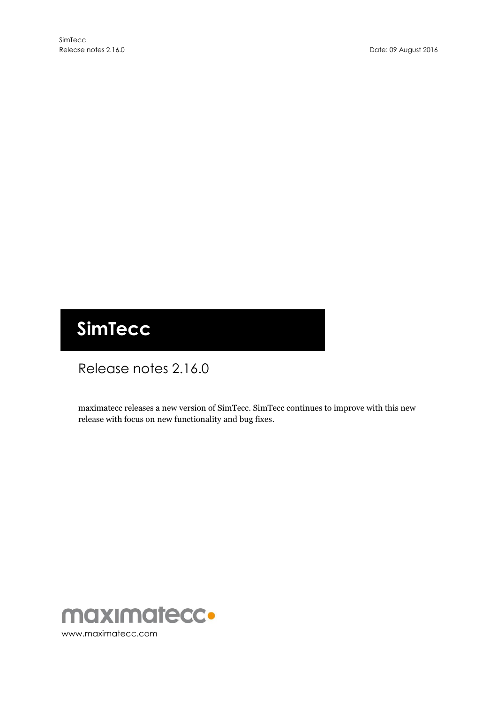# **SimTecc**

# Release notes 2.16.0

maximatecc releases a new version of SimTecc. SimTecc continues to improve with this new release with focus on new functionality and bug fixes.

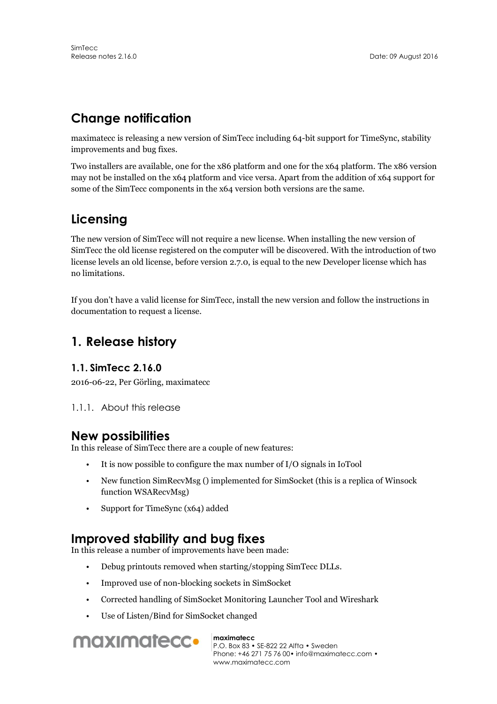# **Change notification**

maximatecc is releasing a new version of SimTecc including 64-bit support for TimeSync, stability improvements and bug fixes.

Two installers are available, one for the x86 platform and one for the x64 platform. The x86 version may not be installed on the x64 platform and vice versa. Apart from the addition of x64 support for some of the SimTecc components in the x64 version both versions are the same.

# **Licensing**

The new version of SimTecc will not require a new license. When installing the new version of SimTecc the old license registered on the computer will be discovered. With the introduction of two license levels an old license, before version 2.7.0, is equal to the new Developer license which has no limitations.

If you don't have a valid license for SimTecc, install the new version and follow the instructions in documentation to request a license.

# **1. Release history**

#### **1.1. SimTecc 2.16.0**

2016-06-22, Per Görling, maximatecc

1.1.1. About this release

### **New possibilities**

In this release of SimTecc there are a couple of new features:

- It is now possible to configure the max number of I/O signals in IoTool
- New function SimRecvMsg () implemented for SimSocket (this is a replica of Winsock function WSARecvMsg)
- Support for TimeSync (x64) added

# **Improved stability and bug fixes**

In this release a number of improvements have been made:

- Debug printouts removed when starting/stopping SimTecc DLLs.
- Improved use of non-blocking sockets in SimSocket
- Corrected handling of SimSocket Monitoring Launcher Tool and Wireshark
- Use of Listen/Bind for SimSocket changed



**maximatecc**

P.O. Box 83 • SE-822 22 Alfta • Sweden Phone: +46 271 75 76 00• info@maximatecc.com • www.maximatecc.com